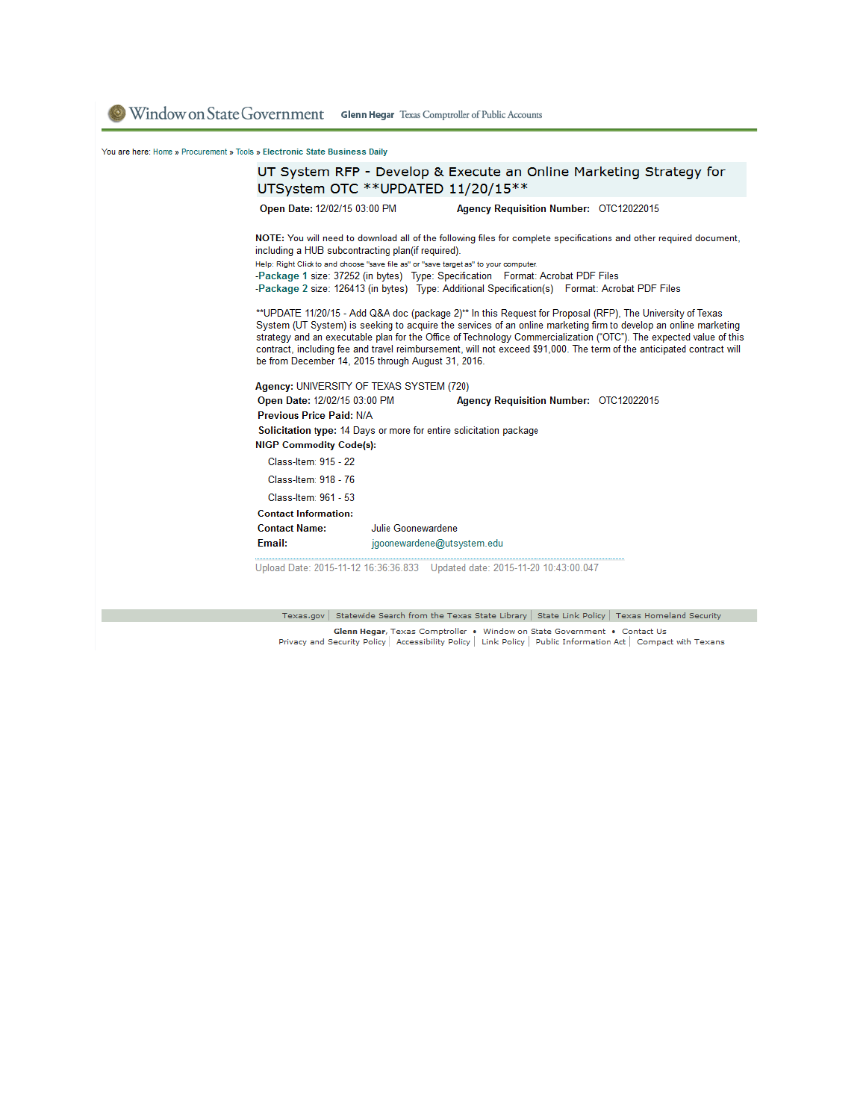Window on State Government Glenn Hegar Texas Comptroller of Public Accounts

You are here: Home » Procurement » Tools » Electronic State Business Daily



Privacy and Security Policy | Accessibility Policy | Link Policy | Public Information Act | Compact with Texans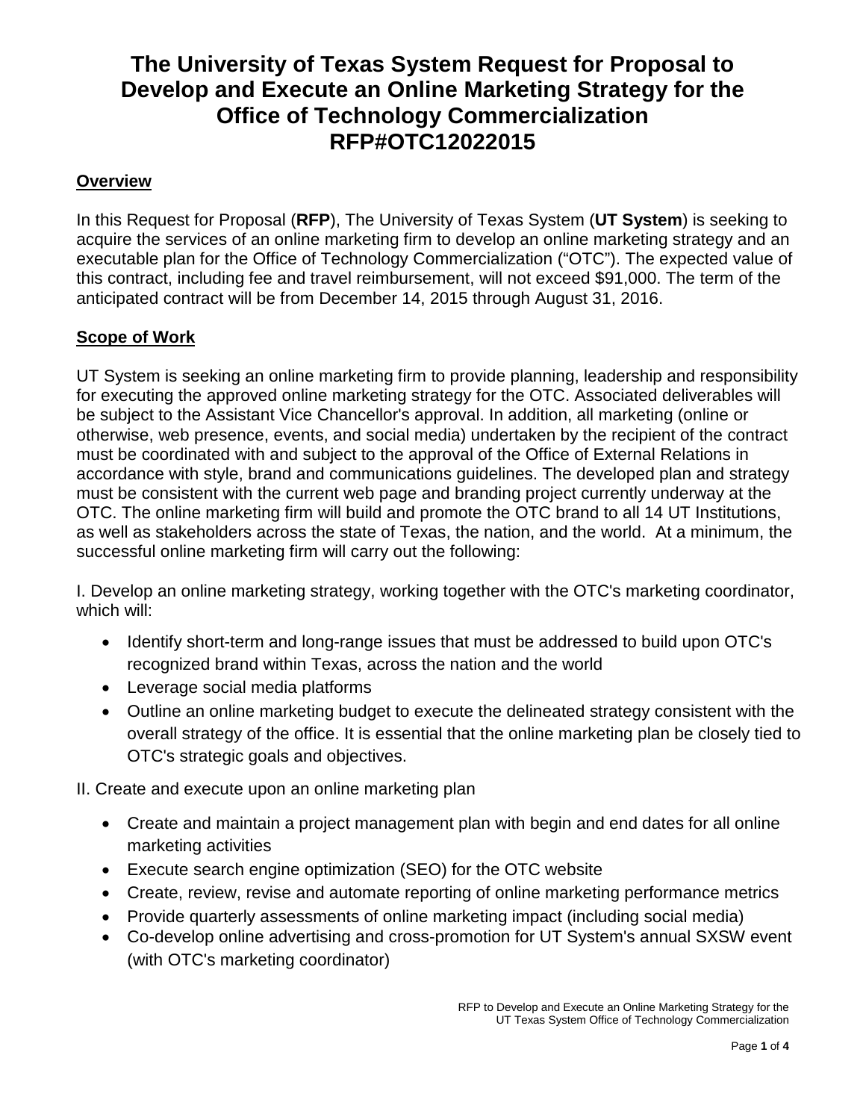# **The University of Texas System Request for Proposal to Develop and Execute an Online Marketing Strategy for the Office of Technology Commercialization RFP#OTC12022015**

# **Overview**

In this Request for Proposal (**RFP**), The University of Texas System (**UT System**) is seeking to acquire the services of an online marketing firm to develop an online marketing strategy and an executable plan for the Office of Technology Commercialization ("OTC"). The expected value of this contract, including fee and travel reimbursement, will not exceed \$91,000. The term of the anticipated contract will be from December 14, 2015 through August 31, 2016.

# **Scope of Work**

UT System is seeking an online marketing firm to provide planning, leadership and responsibility for executing the approved online marketing strategy for the OTC. Associated deliverables will be subject to the Assistant Vice Chancellor's approval. In addition, all marketing (online or otherwise, web presence, events, and social media) undertaken by the recipient of the contract must be coordinated with and subject to the approval of the Office of External Relations in accordance with style, brand and communications guidelines. The developed plan and strategy must be consistent with the current web page and branding project currently underway at the OTC. The online marketing firm will build and promote the OTC brand to all 14 UT Institutions, as well as stakeholders across the state of Texas, the nation, and the world. At a minimum, the successful online marketing firm will carry out the following:

I. Develop an online marketing strategy, working together with the OTC's marketing coordinator, which will:

- Identify short-term and long-range issues that must be addressed to build upon OTC's recognized brand within Texas, across the nation and the world
- Leverage social media platforms
- Outline an online marketing budget to execute the delineated strategy consistent with the overall strategy of the office. It is essential that the online marketing plan be closely tied to OTC's strategic goals and objectives.

II. Create and execute upon an online marketing plan

- Create and maintain a project management plan with begin and end dates for all online marketing activities
- Execute search engine optimization (SEO) for the OTC website
- Create, review, revise and automate reporting of online marketing performance metrics
- Provide quarterly assessments of online marketing impact (including social media)
- Co-develop online advertising and cross-promotion for UT System's annual SXSW event (with OTC's marketing coordinator)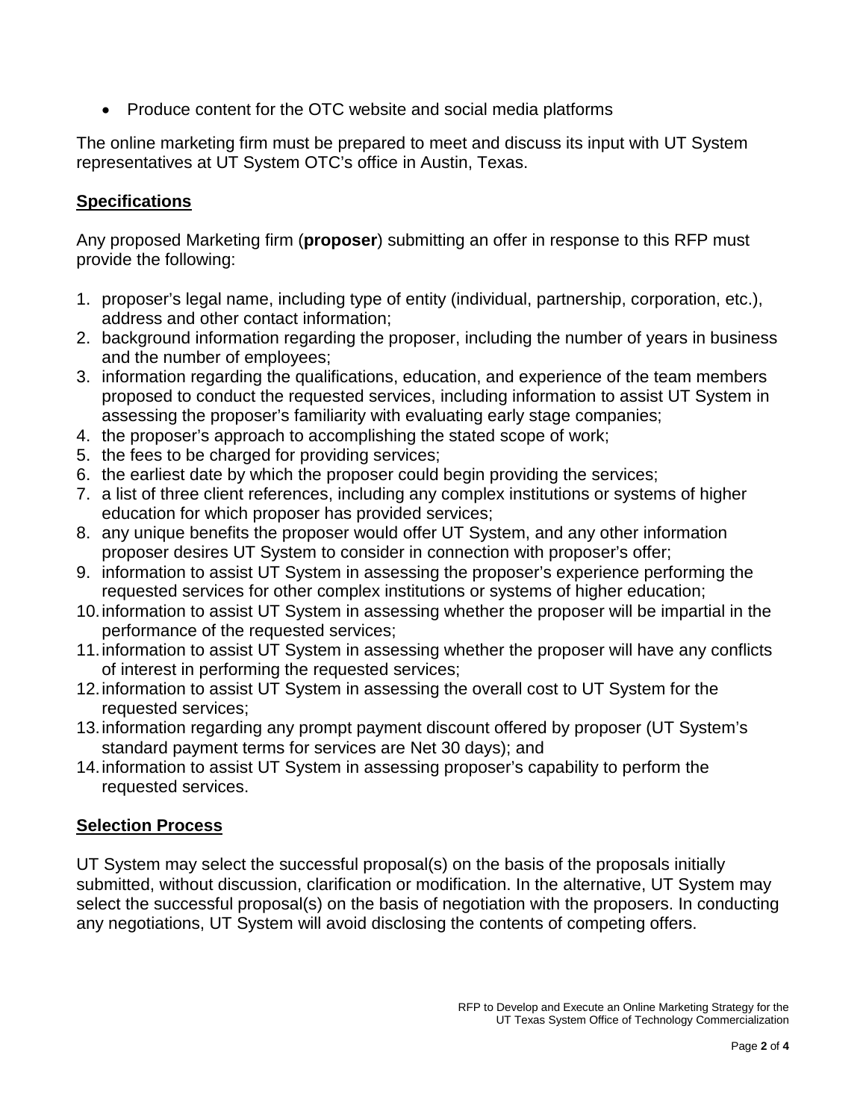• Produce content for the OTC website and social media platforms

The online marketing firm must be prepared to meet and discuss its input with UT System representatives at UT System OTC's office in Austin, Texas.

# **Specifications**

Any proposed Marketing firm (**proposer**) submitting an offer in response to this RFP must provide the following:

- 1. proposer's legal name, including type of entity (individual, partnership, corporation, etc.), address and other contact information;
- 2. background information regarding the proposer, including the number of years in business and the number of employees;
- 3. information regarding the qualifications, education, and experience of the team members proposed to conduct the requested services, including information to assist UT System in assessing the proposer's familiarity with evaluating early stage companies;
- 4. the proposer's approach to accomplishing the stated scope of work;
- 5. the fees to be charged for providing services;
- 6. the earliest date by which the proposer could begin providing the services;
- 7. a list of three client references, including any complex institutions or systems of higher education for which proposer has provided services;
- 8. any unique benefits the proposer would offer UT System, and any other information proposer desires UT System to consider in connection with proposer's offer;
- 9. information to assist UT System in assessing the proposer's experience performing the requested services for other complex institutions or systems of higher education;
- 10.information to assist UT System in assessing whether the proposer will be impartial in the performance of the requested services;
- 11.information to assist UT System in assessing whether the proposer will have any conflicts of interest in performing the requested services;
- 12.information to assist UT System in assessing the overall cost to UT System for the requested services;
- 13.information regarding any prompt payment discount offered by proposer (UT System's standard payment terms for services are Net 30 days); and
- 14.information to assist UT System in assessing proposer's capability to perform the requested services.

# **Selection Process**

UT System may select the successful proposal(s) on the basis of the proposals initially submitted, without discussion, clarification or modification. In the alternative, UT System may select the successful proposal(s) on the basis of negotiation with the proposers. In conducting any negotiations, UT System will avoid disclosing the contents of competing offers.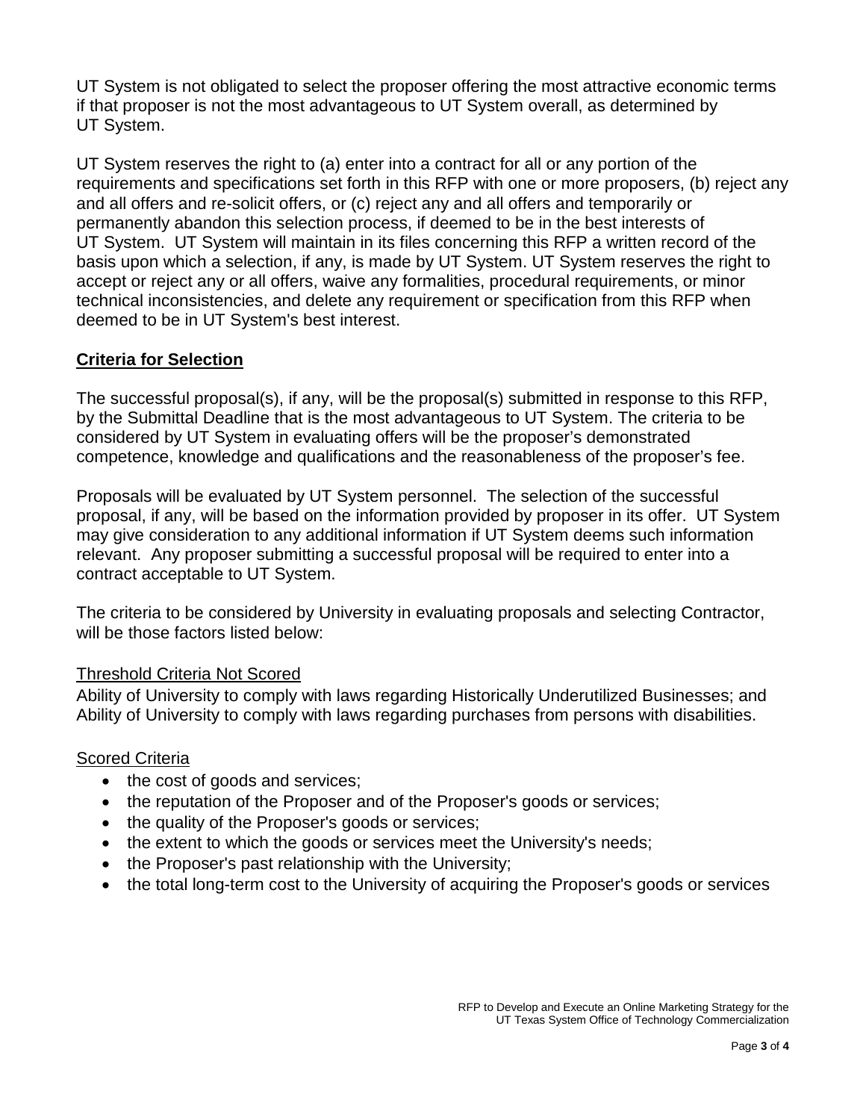UT System is not obligated to select the proposer offering the most attractive economic terms if that proposer is not the most advantageous to UT System overall, as determined by UT System.

UT System reserves the right to (a) enter into a contract for all or any portion of the requirements and specifications set forth in this RFP with one or more proposers, (b) reject any and all offers and re-solicit offers, or (c) reject any and all offers and temporarily or permanently abandon this selection process, if deemed to be in the best interests of UT System. UT System will maintain in its files concerning this RFP a written record of the basis upon which a selection, if any, is made by UT System. UT System reserves the right to accept or reject any or all offers, waive any formalities, procedural requirements, or minor technical inconsistencies, and delete any requirement or specification from this RFP when deemed to be in UT System's best interest.

## **Criteria for Selection**

The successful proposal(s), if any, will be the proposal(s) submitted in response to this RFP, by the Submittal Deadline that is the most advantageous to UT System. The criteria to be considered by UT System in evaluating offers will be the proposer's demonstrated competence, knowledge and qualifications and the reasonableness of the proposer's fee.

Proposals will be evaluated by UT System personnel. The selection of the successful proposal, if any, will be based on the information provided by proposer in its offer. UT System may give consideration to any additional information if UT System deems such information relevant. Any proposer submitting a successful proposal will be required to enter into a contract acceptable to UT System.

The criteria to be considered by University in evaluating proposals and selecting Contractor, will be those factors listed below:

### Threshold Criteria Not Scored

Ability of University to comply with laws regarding Historically Underutilized Businesses; and Ability of University to comply with laws regarding purchases from persons with disabilities.

### Scored Criteria

- the cost of goods and services;
- the reputation of the Proposer and of the Proposer's goods or services;
- the quality of the Proposer's goods or services;
- the extent to which the goods or services meet the University's needs;
- the Proposer's past relationship with the University;
- the total long-term cost to the University of acquiring the Proposer's goods or services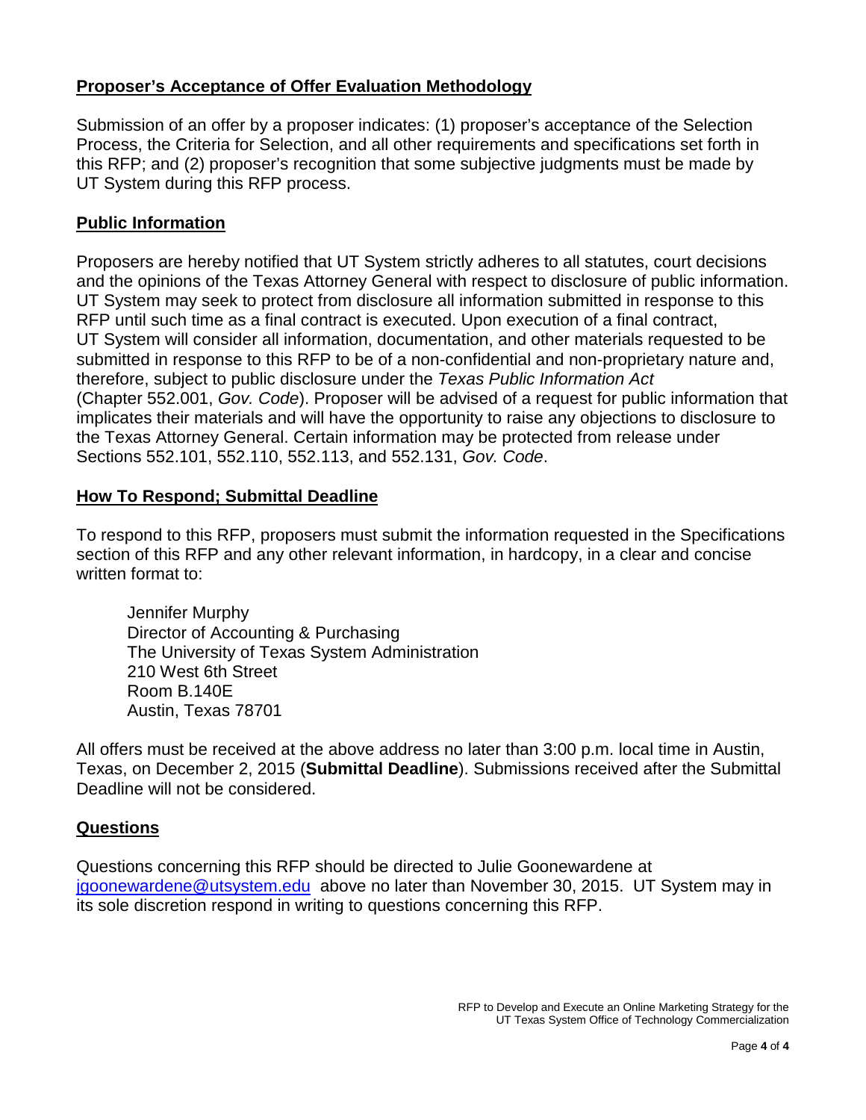## **Proposer's Acceptance of Offer Evaluation Methodology**

Submission of an offer by a proposer indicates: (1) proposer's acceptance of the Selection Process, the Criteria for Selection, and all other requirements and specifications set forth in this RFP; and (2) proposer's recognition that some subjective judgments must be made by UT System during this RFP process.

### **Public Information**

Proposers are hereby notified that UT System strictly adheres to all statutes, court decisions and the opinions of the Texas Attorney General with respect to disclosure of public information. UT System may seek to protect from disclosure all information submitted in response to this RFP until such time as a final contract is executed. Upon execution of a final contract, UT System will consider all information, documentation, and other materials requested to be submitted in response to this RFP to be of a non-confidential and non-proprietary nature and, therefore, subject to public disclosure under the *Texas Public Information Act* (Chapter 552.001, *Gov. Code*). Proposer will be advised of a request for public information that implicates their materials and will have the opportunity to raise any objections to disclosure to the Texas Attorney General. Certain information may be protected from release under Sections 552.101, 552.110, 552.113, and 552.131, *Gov. Code*.

#### **How To Respond; Submittal Deadline**

To respond to this RFP, proposers must submit the information requested in the Specifications section of this RFP and any other relevant information, in hardcopy, in a clear and concise written format to:

Jennifer Murphy Director of Accounting & Purchasing The University of Texas System Administration 210 West 6th Street Room B.140E Austin, Texas 78701

All offers must be received at the above address no later than 3:00 p.m. local time in Austin, Texas, on December 2, 2015 (**Submittal Deadline**). Submissions received after the Submittal Deadline will not be considered.

#### **Questions**

Questions concerning this RFP should be directed to Julie Goonewardene at [jgoonewardene@utsystem.edu](mailto:jgoonewardene@utsystem.edu) above no later than November 30, 2015. UT System may in its sole discretion respond in writing to questions concerning this RFP.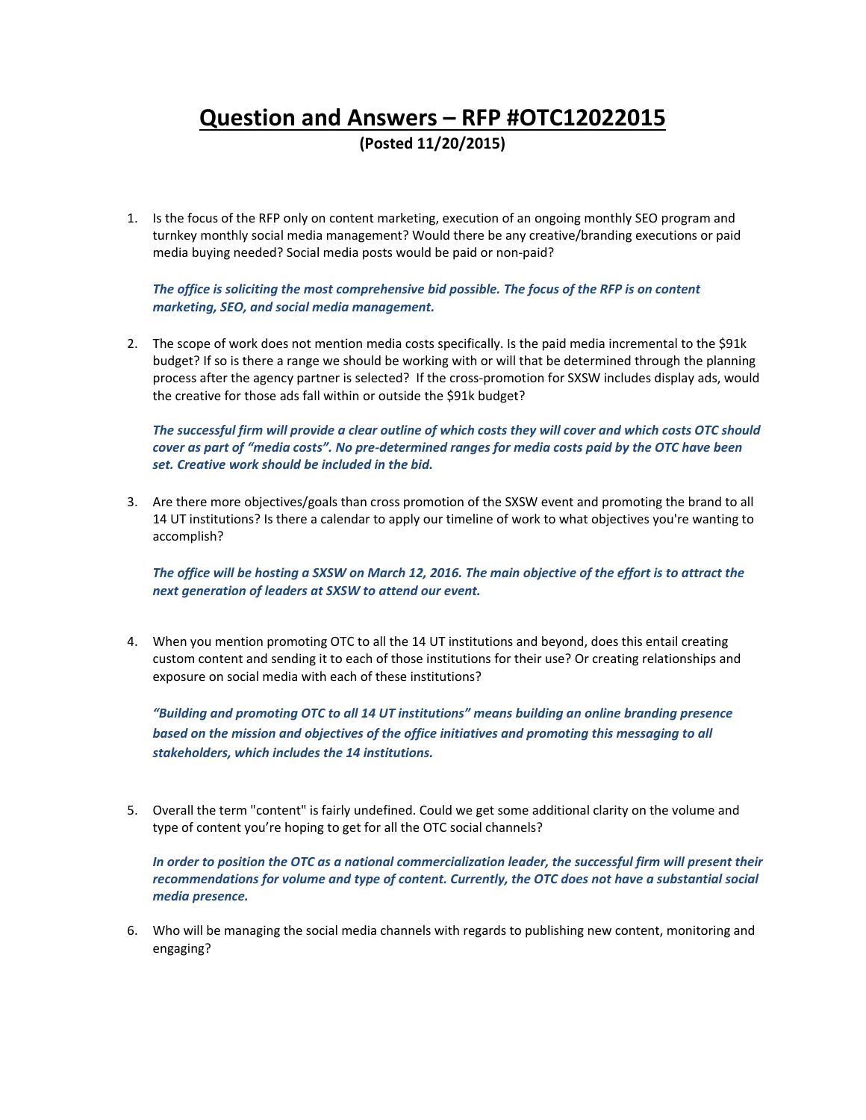# **Question and Answers – RFP #OTC12022015 (Posted 11/20/2015)**

1. Is the focus of the RFP only on content marketing, execution of an ongoing monthly SEO program and turnkey monthly social media management? Would there be any creative/branding executions or paid media buying needed? Social media posts would be paid or non‐paid?

#### *The office is soliciting the most comprehensive bid possible. The focus of the RFP is on content marketing, SEO, and social media management.*

2. The scope of work does not mention media costs specifically. Is the paid media incremental to the \$91k budget? If so is there a range we should be working with or will that be determined through the planning process after the agency partner is selected? If the cross‐promotion for SXSW includes display ads, would the creative for those ads fall within or outside the \$91k budget?

The successful firm will provide a clear outline of which costs they will cover and which costs OTC should cover as part of "media costs". No pre-determined ranges for media costs paid by the OTC have been *set. Creative work should be included in the bid.* 

3. Are there more objectives/goals than cross promotion of the SXSW event and promoting the brand to all 14 UT institutions? Is there a calendar to apply our timeline of work to what objectives you're wanting to accomplish?

The office will be hosting a SXSW on March 12, 2016. The main objective of the effort is to attract the *next generation of leaders at SXSW to attend our event.*

4. When you mention promoting OTC to all the 14 UT institutions and beyond, does this entail creating custom content and sending it to each of those institutions for their use? Or creating relationships and exposure on social media with each of these institutions?

*"Building and promoting OTC to all 14 UT institutions" means building an online branding presence based on the mission and objectives of the office initiatives and promoting this messaging to all stakeholders, which includes the 14 institutions.*

5. Overall the term "content" is fairly undefined. Could we get some additional clarity on the volume and type of content you're hoping to get for all the OTC social channels?

In order to position the OTC as a national commercialization leader, the successful firm will present their *recommendations for volume and type of content. Currently, the OTC does not have a substantial social media presence.*

6. Who will be managing the social media channels with regards to publishing new content, monitoring and engaging?